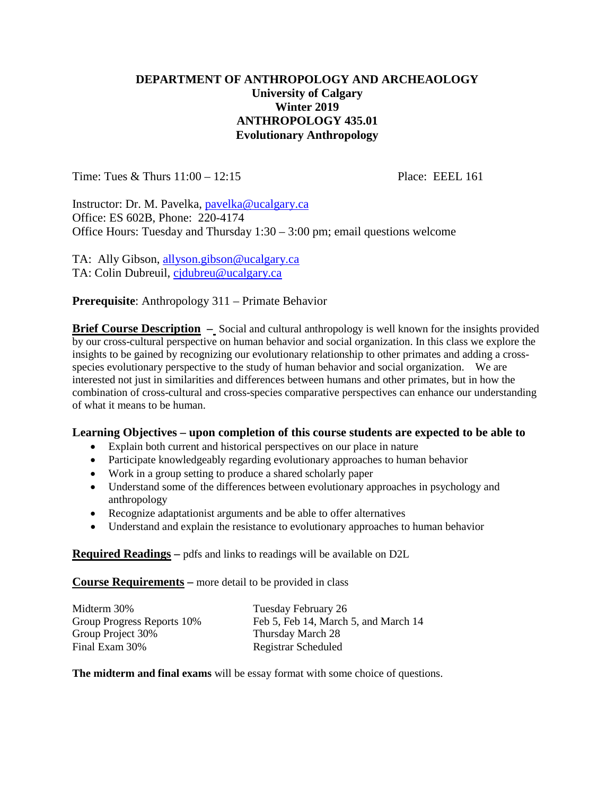### **DEPARTMENT OF ANTHROPOLOGY AND ARCHEAOLOGY University of Calgary Winter 2019 ANTHROPOLOGY 435.01 Evolutionary Anthropology**

Time: Tues & Thurs 11:00 – 12:15 Place: EEEL 161

Instructor: Dr. M. Pavelka, [pavelka@ucalgary.ca](mailto:pavelka@ucalgary.ca) Office: ES 602B, Phone: 220-4174 Office Hours: Tuesday and Thursday 1:30 – 3:00 pm; email questions welcome

TA: Ally Gibson, [allyson.gibson@ucalgary.ca](mailto:allyson.gibson@ucalgary.ca) TA: Colin Dubreuil, [cjdubreu@ucalgary.ca](mailto:cjdubreu@ucalgary.ca)

**Prerequisite**: Anthropology 311 – Primate Behavior

**Brief Course Description** – Social and cultural anthropology is well known for the insights provided by our cross-cultural perspective on human behavior and social organization. In this class we explore the insights to be gained by recognizing our evolutionary relationship to other primates and adding a crossspecies evolutionary perspective to the study of human behavior and social organization. We are interested not just in similarities and differences between humans and other primates, but in how the combination of cross-cultural and cross-species comparative perspectives can enhance our understanding of what it means to be human.

#### **Learning Objectives – upon completion of this course students are expected to be able to**

- Explain both current and historical perspectives on our place in nature
- Participate knowledgeably regarding evolutionary approaches to human behavior
- Work in a group setting to produce a shared scholarly paper
- Understand some of the differences between evolutionary approaches in psychology and anthropology
- Recognize adaptationist arguments and be able to offer alternatives
- Understand and explain the resistance to evolutionary approaches to human behavior

**Required Readings –** pdfs and links to readings will be available on D2L

**Course Requirements –** more detail to be provided in class

| Midterm 30%                | Tuesday February 26                  |  |  |
|----------------------------|--------------------------------------|--|--|
| Group Progress Reports 10% | Feb 5, Feb 14, March 5, and March 14 |  |  |
| Group Project 30%          | Thursday March 28                    |  |  |
| Final Exam 30%             | Registrar Scheduled                  |  |  |

**The midterm and final exams** will be essay format with some choice of questions.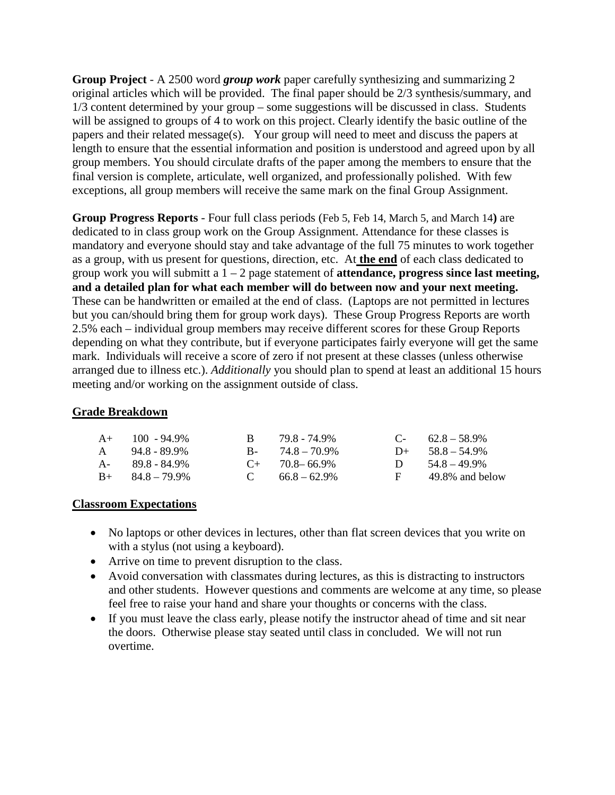**Group Project** - A 2500 word *group work* paper carefully synthesizing and summarizing 2 original articles which will be provided. The final paper should be 2/3 synthesis/summary, and 1/3 content determined by your group – some suggestions will be discussed in class. Students will be assigned to groups of 4 to work on this project. Clearly identify the basic outline of the papers and their related message(s). Your group will need to meet and discuss the papers at length to ensure that the essential information and position is understood and agreed upon by all group members. You should circulate drafts of the paper among the members to ensure that the final version is complete, articulate, well organized, and professionally polished. With few exceptions, all group members will receive the same mark on the final Group Assignment.

**Group Progress Reports** - Four full class periods (Feb 5, Feb 14, March 5, and March 14**)** are dedicated to in class group work on the Group Assignment. Attendance for these classes is mandatory and everyone should stay and take advantage of the full 75 minutes to work together as a group, with us present for questions, direction, etc. At **the end** of each class dedicated to group work you will submitt a 1 – 2 page statement of **attendance, progress since last meeting, and a detailed plan for what each member will do between now and your next meeting.**  These can be handwritten or emailed at the end of class. (Laptops are not permitted in lectures but you can/should bring them for group work days). These Group Progress Reports are worth 2.5% each – individual group members may receive different scores for these Group Reports depending on what they contribute, but if everyone participates fairly everyone will get the same mark. Individuals will receive a score of zero if not present at these classes (unless otherwise arranged due to illness etc.). *Additionally* you should plan to spend at least an additional 15 hours meeting and/or working on the assignment outside of class.

### **Grade Breakdown**

| $A+$ 100 - 94.9%        | R. | 79.8 - 74.9%        |          | $C - 62.8 - 58.9\%$ |
|-------------------------|----|---------------------|----------|---------------------|
| $A = 94.8 - 89.9\%$     |    | $B - 74.8 - 70.9\%$ |          | $D+ 58.8 - 54.9\%$  |
| $A - 89.8 - 84.9\%$     |    | $C_{+}$ 70.8–66.9%  |          | D $54.8-49.9\%$     |
| $B_{+}$ $84.8 - 79.9\%$ |    | C $66.8-62.9\%$     | <b>E</b> | 49.8% and below     |

### **Classroom Expectations**

- No laptops or other devices in lectures, other than flat screen devices that you write on with a stylus (not using a keyboard).
- Arrive on time to prevent disruption to the class.
- Avoid conversation with classmates during lectures, as this is distracting to instructors and other students. However questions and comments are welcome at any time, so please feel free to raise your hand and share your thoughts or concerns with the class.
- If you must leave the class early, please notify the instructor ahead of time and sit near the doors. Otherwise please stay seated until class in concluded. We will not run overtime.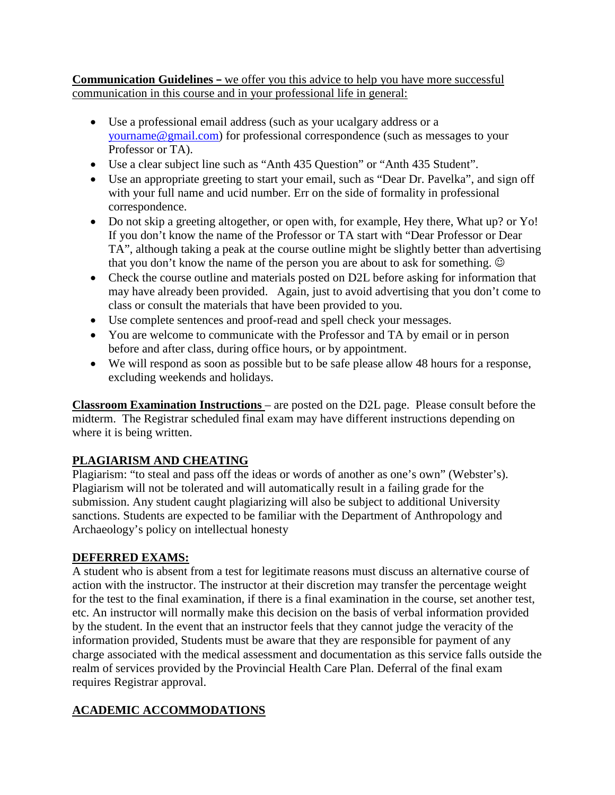### **Communication Guidelines –** we offer you this advice to help you have more successful communication in this course and in your professional life in general:

- Use a professional email address (such as your ucalgary address or a [yourname@gmail.com\)](mailto:yourname@gmail.com) for professional correspondence (such as messages to your Professor or TA).
- Use a clear subject line such as "Anth 435 Question" or "Anth 435 Student".
- Use an appropriate greeting to start your email, such as "Dear Dr. Pavelka", and sign off with your full name and ucid number. Err on the side of formality in professional correspondence.
- Do not skip a greeting altogether, or open with, for example, Hey there, What up? or Yo! If you don't know the name of the Professor or TA start with "Dear Professor or Dear TA", although taking a peak at the course outline might be slightly better than advertising that you don't know the name of the person you are about to ask for something.
- Check the course outline and materials posted on D2L before asking for information that may have already been provided. Again, just to avoid advertising that you don't come to class or consult the materials that have been provided to you.
- Use complete sentences and proof-read and spell check your messages.
- You are welcome to communicate with the Professor and TA by email or in person before and after class, during office hours, or by appointment.
- We will respond as soon as possible but to be safe please allow 48 hours for a response, excluding weekends and holidays.

**Classroom Examination Instructions** – are posted on the D2L page. Please consult before the midterm. The Registrar scheduled final exam may have different instructions depending on where it is being written.

## **PLAGIARISM AND CHEATING**

Plagiarism: "to steal and pass off the ideas or words of another as one's own" (Webster's). Plagiarism will not be tolerated and will automatically result in a failing grade for the submission. Any student caught plagiarizing will also be subject to additional University sanctions. Students are expected to be familiar with the Department of Anthropology and Archaeology's policy on intellectual honesty

## **DEFERRED EXAMS:**

A student who is absent from a test for legitimate reasons must discuss an alternative course of action with the instructor. The instructor at their discretion may transfer the percentage weight for the test to the final examination, if there is a final examination in the course, set another test, etc. An instructor will normally make this decision on the basis of verbal information provided by the student. In the event that an instructor feels that they cannot judge the veracity of the information provided, Students must be aware that they are responsible for payment of any charge associated with the medical assessment and documentation as this service falls outside the realm of services provided by the Provincial Health Care Plan. Deferral of the final exam requires Registrar approval.

# **ACADEMIC ACCOMMODATIONS**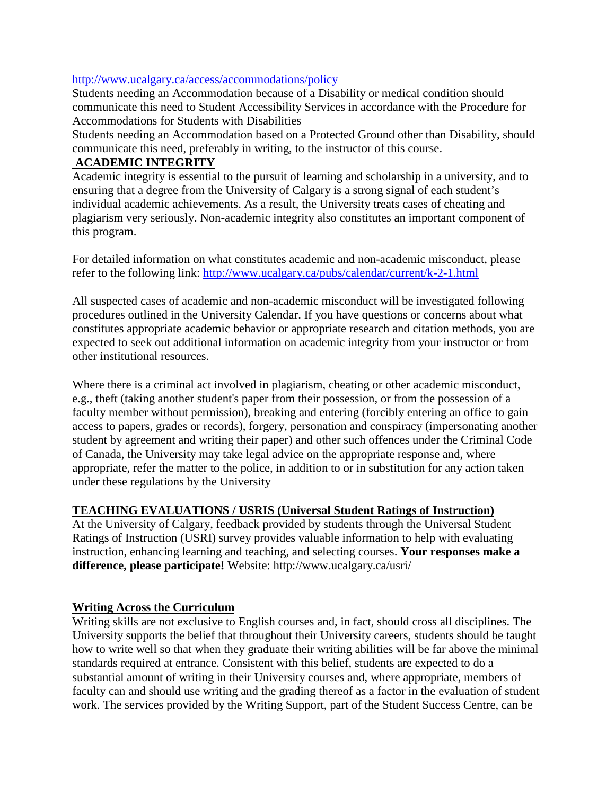### <http://www.ucalgary.ca/access/accommodations/policy>

Students needing an Accommodation because of a Disability or medical condition should communicate this need to Student Accessibility Services in accordance with the Procedure for Accommodations for Students with Disabilities

Students needing an Accommodation based on a Protected Ground other than Disability, should communicate this need, preferably in writing, to the instructor of this course.

### **ACADEMIC INTEGRITY**

Academic integrity is essential to the pursuit of learning and scholarship in a university, and to ensuring that a degree from the University of Calgary is a strong signal of each student's individual academic achievements. As a result, the University treats cases of cheating and plagiarism very seriously. Non-academic integrity also constitutes an important component of this program.

For detailed information on what constitutes academic and non-academic misconduct, please refer to the following link:<http://www.ucalgary.ca/pubs/calendar/current/k-2-1.html>

All suspected cases of academic and non-academic misconduct will be investigated following procedures outlined in the University Calendar. If you have questions or concerns about what constitutes appropriate academic behavior or appropriate research and citation methods, you are expected to seek out additional information on academic integrity from your instructor or from other institutional resources.

Where there is a criminal act involved in plagiarism, cheating or other academic misconduct, e.g., theft (taking another student's paper from their possession, or from the possession of a faculty member without permission), breaking and entering (forcibly entering an office to gain access to papers, grades or records), forgery, personation and conspiracy (impersonating another student by agreement and writing their paper) and other such offences under the Criminal Code of Canada, the University may take legal advice on the appropriate response and, where appropriate, refer the matter to the police, in addition to or in substitution for any action taken under these regulations by the University

### **TEACHING EVALUATIONS / USRIS (Universal Student Ratings of Instruction)**

At the University of Calgary, feedback provided by students through the Universal Student Ratings of Instruction (USRI) survey provides valuable information to help with evaluating instruction, enhancing learning and teaching, and selecting courses. **Your responses make a difference, please participate!** Website: http://www.ucalgary.ca/usri/

### **Writing Across the Curriculum**

Writing skills are not exclusive to English courses and, in fact, should cross all disciplines. The University supports the belief that throughout their University careers, students should be taught how to write well so that when they graduate their writing abilities will be far above the minimal standards required at entrance. Consistent with this belief, students are expected to do a substantial amount of writing in their University courses and, where appropriate, members of faculty can and should use writing and the grading thereof as a factor in the evaluation of student work. The services provided by the Writing Support, part of the Student Success Centre, can be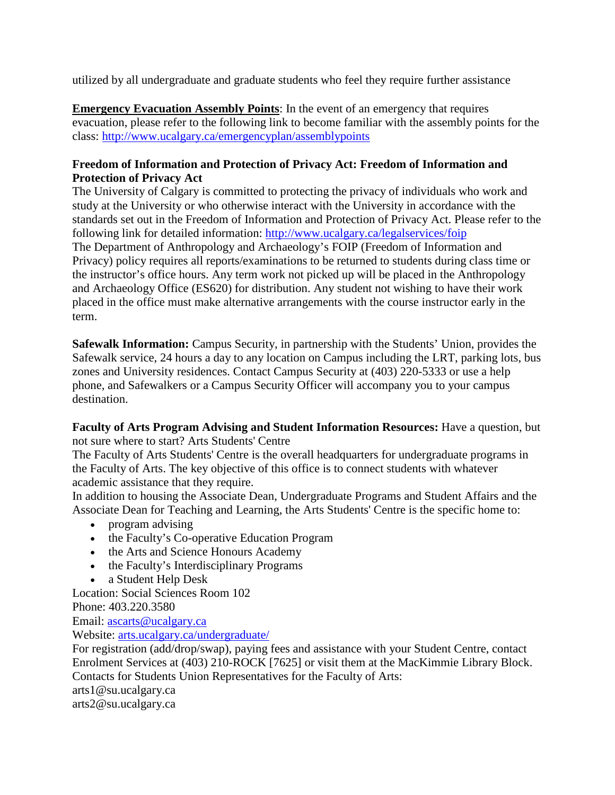utilized by all undergraduate and graduate students who feel they require further assistance

**Emergency Evacuation Assembly Points**: In the event of an emergency that requires evacuation, please refer to the following link to become familiar with the assembly points for the class:<http://www.ucalgary.ca/emergencyplan/assemblypoints>

### **Freedom of Information and Protection of Privacy Act: Freedom of Information and Protection of Privacy Act**

The University of Calgary is committed to protecting the privacy of individuals who work and study at the University or who otherwise interact with the University in accordance with the standards set out in the Freedom of Information and Protection of Privacy Act. Please refer to the following link for detailed information:<http://www.ucalgary.ca/legalservices/foip> The Department of Anthropology and Archaeology's FOIP (Freedom of Information and Privacy) policy requires all reports/examinations to be returned to students during class time or the instructor's office hours. Any term work not picked up will be placed in the Anthropology and Archaeology Office (ES620) for distribution. Any student not wishing to have their work placed in the office must make alternative arrangements with the course instructor early in the term.

**Safewalk Information:** Campus Security, in partnership with the Students' Union, provides the Safewalk service, 24 hours a day to any location on Campus including the LRT, parking lots, bus zones and University residences. Contact Campus Security at (403) 220-5333 or use a help phone, and Safewalkers or a Campus Security Officer will accompany you to your campus destination.

**Faculty of Arts Program Advising and Student Information Resources:** Have a question, but not sure where to start? Arts Students' Centre

The Faculty of Arts Students' Centre is the overall headquarters for undergraduate programs in the Faculty of Arts. The key objective of this office is to connect students with whatever academic assistance that they require.

In addition to housing the Associate Dean, Undergraduate Programs and Student Affairs and the Associate Dean for Teaching and Learning, the Arts Students' Centre is the specific home to:

- program advising
- the Faculty's Co-operative Education Program
- the Arts and Science Honours Academy
- the Faculty's Interdisciplinary Programs
- a Student Help Desk

Location: Social Sciences Room 102

Phone: 403.220.3580

Email: [ascarts@ucalgary.ca](http://ucalgary.ca/pubs/calendar/current/ascarts@ucalgary.ca)

Website: [arts.ucalgary.ca/undergraduate/](http://arts.ucalgary.ca/undergraduate/)

For registration (add/drop/swap), paying fees and assistance with your Student Centre, contact Enrolment Services at (403) 210-ROCK [7625] or visit them at the MacKimmie Library Block. Contacts for Students Union Representatives for the Faculty of Arts: arts1@su.ucalgary.ca arts2@su.ucalgary.ca